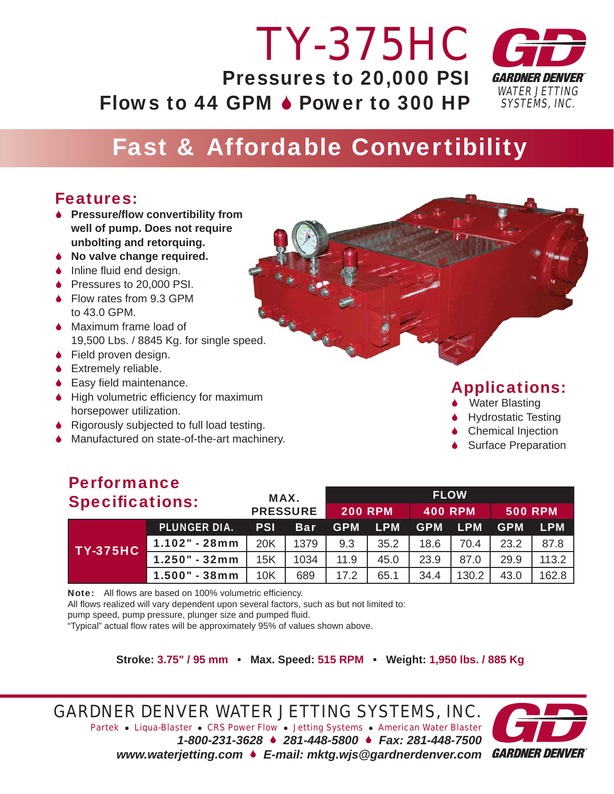#### *WATER JETTING SYSTEMS, INC. TY-375HC* Pressures to 20,000 PSI Flows to 44 GPM  $\bullet$  Power to 300 HP

## Fast & Affordable Convertibility

### Features:

- 6 **Pressure/fl ow convertibility from well of pump. Does not require unbolting and retorquing.**
- 6 **No valve change required.**
- $\bullet$  Inline fluid end design.
- ◆ Pressures to 20,000 PSI.
- ◆ Flow rates from 9.3 GPM to 43.0 GPM.
- ◆ Maximum frame load of 19,500 Lbs. / 8845 Kg. for single speed.
- ◆ Field proven design.
- 6 Extremely reliable.
- $\bullet$  Easy field maintenance.
- $\blacklozenge$  High volumetric efficiency for maximum horsepower utilization.
- 6 Rigorously subjected to full load testing.
- 6 Manufactured on state-of-the-art machinery.

### Applications:

- **↓** Water Blasting
- 6 Hydrostatic Testing
- **Chemical Injection**
- **↓** Surface Preparation

### Performance

| <b>Specifications:</b> |                     | MAX.<br><b>PRESSURE</b> |            | <b>FLOW</b>    |                |                |                |                |            |
|------------------------|---------------------|-------------------------|------------|----------------|----------------|----------------|----------------|----------------|------------|
|                        |                     |                         |            | <b>200 RPM</b> |                | <b>400 RPM</b> |                | <b>500 RPM</b> |            |
| <b>TY-375HC</b>        | <b>PLUNGER DIA.</b> | <b>PSI</b>              | <b>Bar</b> |                | <b>GPM LPM</b> |                | <b>GPM LPM</b> | <b>GPM</b>     | <b>LPM</b> |
|                        | $1.102" - 28mm$     | <b>20K</b>              | 1379       | 9.3            | 35.2           | 18.6           | 70.4           | 23.2           | 87.8       |
|                        | $1.250" - 32mm$     | 15K                     | 1034       | 11.9           | 45.0           | 23.9           | 87.0           | 29.9           | 113.2      |
|                        | 1.500" - 38mm       | 10K                     | 689        | 17.2           | 65.1           | 34.4           | 130.2          | 43.0           | 162.8      |

Note: All flows are based on 100% volumetric efficiency.

All flows realized will vary dependent upon several factors, such as but not limited to:

pump speed, pump pressure, plunger size and pumped fluid.

"Typical" actual flow rates will be approximately 95% of values shown above.

**Stroke: 3.75" / 95 mm • Max. Speed: 515 RPM • Weight: 1,950 lbs. / 885 Kg**

*GARDNER DENVER WATER JETTING SYSTEMS, INC. Partek* z *Liqua-Blaster* z *CRS Power Flow* z *Jetting Systems* z *American Water Blaster 1-800-231-3628* 6 *281-448-5800* 6 *Fax: 281-448-7500 www.waterjetting.com* 6 *E-mail: mktg.wjs@gardnerdenver.com*